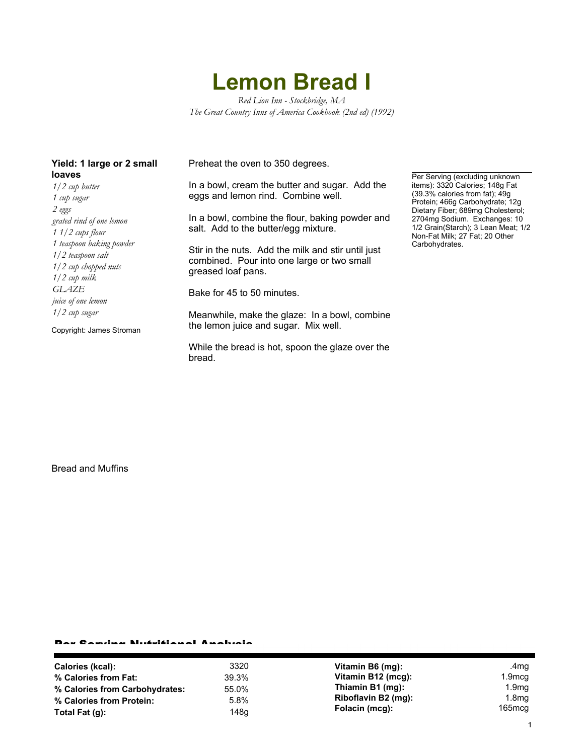## **Lemon Bread I**

*Red Lion Inn - Stockbridge, MA The Great Country Inns of America Cookbook (2nd ed) (1992)*

| <b>loaves</b> | Yield: 1 large or 2 small |  |  |
|---------------|---------------------------|--|--|
|               |                           |  |  |

*1/2 cup butter 1 cup sugar 2 eggs grated rind of one lemon 1 1/2 cups flour 1 teaspoon baking powder 1/2 teaspoon salt 1/2 cup chopped nuts 1/2 cup milk GLAZE juice of one lemon 1/2 cup sugar*

Copyright: James Stroman

Preheat the oven to 350 degrees.

In a bowl, cream the butter and sugar. Add the eggs and lemon rind. Combine well.

In a bowl, combine the flour, baking powder and salt. Add to the butter/egg mixture.

Stir in the nuts. Add the milk and stir until just combined. Pour into one large or two small greased loaf pans.

Bake for 45 to 50 minutes.

Meanwhile, make the glaze: In a bowl, combine the lemon juice and sugar. Mix well.

While the bread is hot, spoon the glaze over the bread.

Per Serving (excluding unknown items): 3320 Calories; 148g Fat (39.3% calories from fat); 49g Protein; 466g Carbohydrate; 12g Dietary Fiber; 689mg Cholesterol; 2704mg Sodium. Exchanges: 10 1/2 Grain(Starch); 3 Lean Meat; 1/2 Non-Fat Milk; 27 Fat; 20 Other Carbohydrates.

Bread and Muffins

## Per Serving Nutritional Analysis

| Calories (kcal):               | 3320  | Vitamin B6 (mg):    | .4mg              |
|--------------------------------|-------|---------------------|-------------------|
| % Calories from Fat:           | 39.3% | Vitamin B12 (mcg):  | 1.9mcg            |
| % Calories from Carbohydrates: | 55.0% | Thiamin B1 (mg):    | 1.9 <sub>mg</sub> |
| % Calories from Protein:       | 5.8%  | Riboflavin B2 (mg): | 1.8 $mg$          |
| Total Fat $(q)$ :              | 148a  | Folacin (mcg):      | 165mcq            |